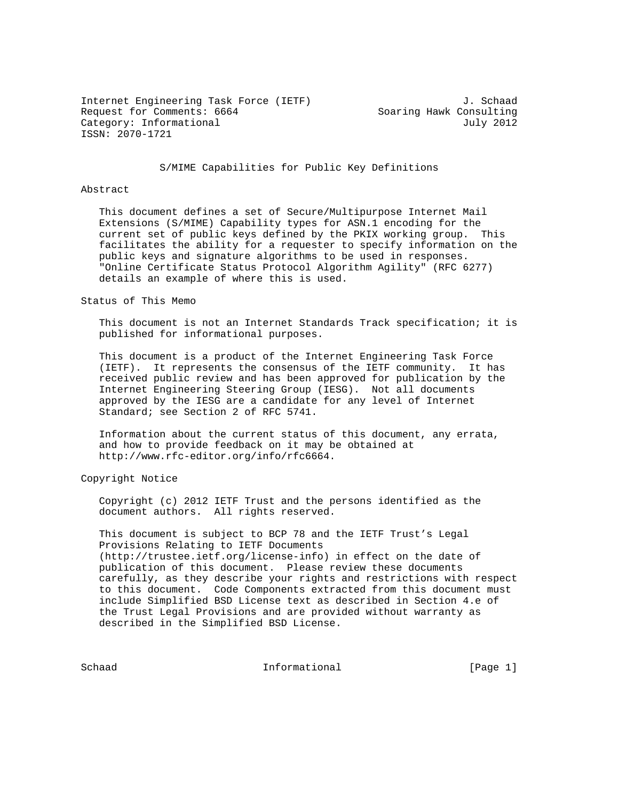Internet Engineering Task Force (IETF) 3. Schaad Request for Comments: 6664 Soaring Hawk Consulting Category: Informational July 2012 ISSN: 2070-1721

S/MIME Capabilities for Public Key Definitions

## Abstract

 This document defines a set of Secure/Multipurpose Internet Mail Extensions (S/MIME) Capability types for ASN.1 encoding for the current set of public keys defined by the PKIX working group. This facilitates the ability for a requester to specify information on the public keys and signature algorithms to be used in responses. "Online Certificate Status Protocol Algorithm Agility" (RFC 6277) details an example of where this is used.

### Status of This Memo

 This document is not an Internet Standards Track specification; it is published for informational purposes.

 This document is a product of the Internet Engineering Task Force (IETF). It represents the consensus of the IETF community. It has received public review and has been approved for publication by the Internet Engineering Steering Group (IESG). Not all documents approved by the IESG are a candidate for any level of Internet Standard; see Section 2 of RFC 5741.

 Information about the current status of this document, any errata, and how to provide feedback on it may be obtained at http://www.rfc-editor.org/info/rfc6664.

Copyright Notice

 Copyright (c) 2012 IETF Trust and the persons identified as the document authors. All rights reserved.

 This document is subject to BCP 78 and the IETF Trust's Legal Provisions Relating to IETF Documents (http://trustee.ietf.org/license-info) in effect on the date of publication of this document. Please review these documents carefully, as they describe your rights and restrictions with respect to this document. Code Components extracted from this document must include Simplified BSD License text as described in Section 4.e of the Trust Legal Provisions and are provided without warranty as described in the Simplified BSD License.

Schaad **Informational Informational** [Page 1]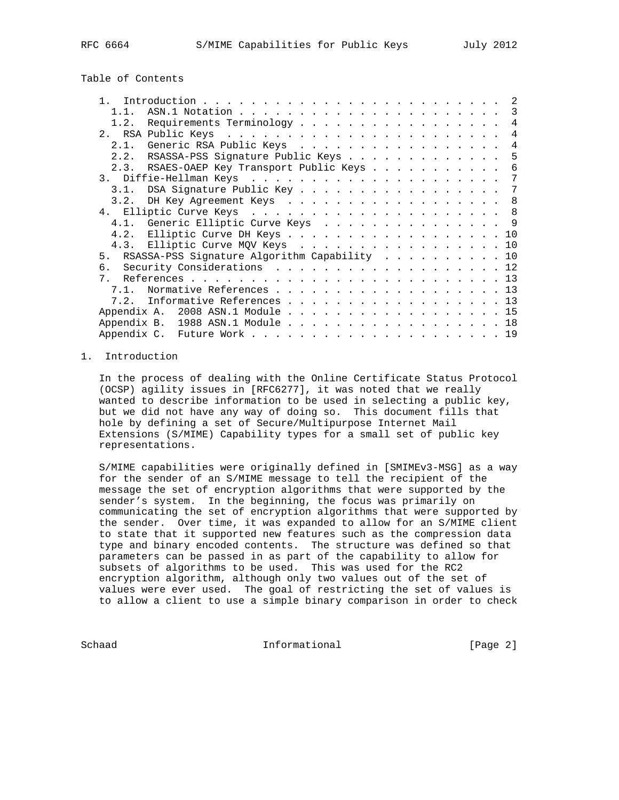Table of Contents

|                |                                                 |  |  | 2              |
|----------------|-------------------------------------------------|--|--|----------------|
| 1 1            |                                                 |  |  |                |
| 1.2.           | Requirements Terminology                        |  |  | 4              |
|                |                                                 |  |  | $\overline{4}$ |
|                | 2.1. Generic RSA Public Keys                    |  |  | 4              |
|                | 2.2. RSASSA-PSS Signature Public Keys           |  |  | -5             |
|                | 2.3. RSAES-OAEP Key Transport Public Keys       |  |  | 6              |
|                |                                                 |  |  | 7              |
| 3.1.           | DSA Signature Public Key 7                      |  |  |                |
| 3.2.           | DH Key Agreement Keys                           |  |  | -8             |
|                |                                                 |  |  |                |
|                | 4.1. Generic Elliptic Curve Keys 9              |  |  |                |
|                | 4.2. Elliptic Curve DH Keys 10                  |  |  |                |
|                | 4.3. Elliptic Curve MQV Keys 10                 |  |  |                |
|                | 5. RSASSA-PSS Signature Algorithm Capability 10 |  |  |                |
|                | 6. Security Considerations 12                   |  |  |                |
| 7 <sub>1</sub> |                                                 |  |  |                |
| 71             | Normative References 13                         |  |  |                |
| 7.2.           | Informative References 13                       |  |  |                |
|                | Appendix A. 2008 ASN.1 Module 15                |  |  |                |
|                | Appendix B. 1988 ASN.1 Module 18                |  |  |                |
|                |                                                 |  |  |                |

### 1. Introduction

 In the process of dealing with the Online Certificate Status Protocol (OCSP) agility issues in [RFC6277], it was noted that we really wanted to describe information to be used in selecting a public key, but we did not have any way of doing so. This document fills that hole by defining a set of Secure/Multipurpose Internet Mail Extensions (S/MIME) Capability types for a small set of public key representations.

 S/MIME capabilities were originally defined in [SMIMEv3-MSG] as a way for the sender of an S/MIME message to tell the recipient of the message the set of encryption algorithms that were supported by the sender's system. In the beginning, the focus was primarily on communicating the set of encryption algorithms that were supported by the sender. Over time, it was expanded to allow for an S/MIME client to state that it supported new features such as the compression data type and binary encoded contents. The structure was defined so that parameters can be passed in as part of the capability to allow for subsets of algorithms to be used. This was used for the RC2 encryption algorithm, although only two values out of the set of values were ever used. The goal of restricting the set of values is to allow a client to use a simple binary comparison in order to check

Schaad **Informational Informational** [Page 2]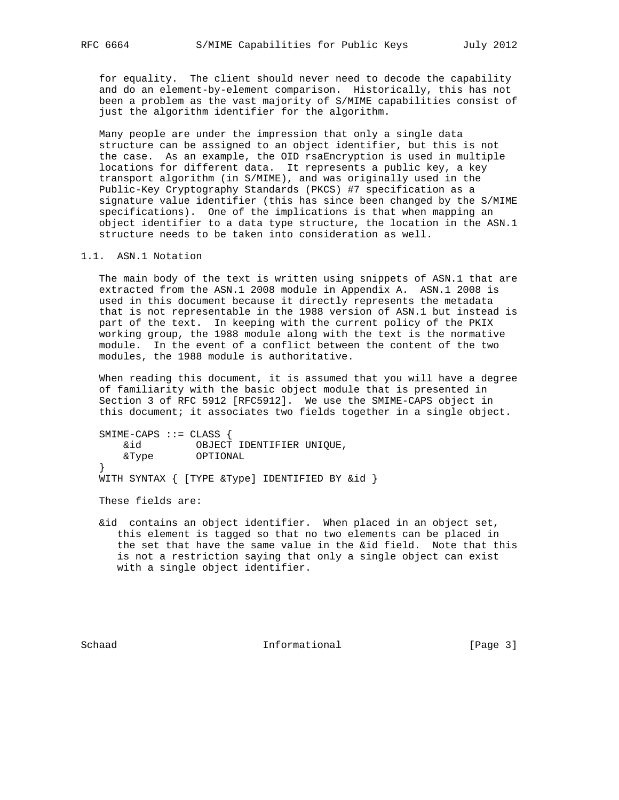for equality. The client should never need to decode the capability and do an element-by-element comparison. Historically, this has not been a problem as the vast majority of S/MIME capabilities consist of just the algorithm identifier for the algorithm.

 Many people are under the impression that only a single data structure can be assigned to an object identifier, but this is not the case. As an example, the OID rsaEncryption is used in multiple locations for different data. It represents a public key, a key transport algorithm (in S/MIME), and was originally used in the Public-Key Cryptography Standards (PKCS) #7 specification as a signature value identifier (this has since been changed by the S/MIME specifications). One of the implications is that when mapping an object identifier to a data type structure, the location in the ASN.1 structure needs to be taken into consideration as well.

1.1. ASN.1 Notation

 The main body of the text is written using snippets of ASN.1 that are extracted from the ASN.1 2008 module in Appendix A. ASN.1 2008 is used in this document because it directly represents the metadata that is not representable in the 1988 version of ASN.1 but instead is part of the text. In keeping with the current policy of the PKIX working group, the 1988 module along with the text is the normative module. In the event of a conflict between the content of the two modules, the 1988 module is authoritative.

 When reading this document, it is assumed that you will have a degree of familiarity with the basic object module that is presented in Section 3 of RFC 5912 [RFC5912]. We use the SMIME-CAPS object in this document; it associates two fields together in a single object.

 SMIME-CAPS ::= CLASS { &id OBJECT IDENTIFIER UNIQUE, &Type OPTIONAL }

WITH SYNTAX { [TYPE &Type] IDENTIFIED BY &id }

These fields are:

 &id contains an object identifier. When placed in an object set, this element is tagged so that no two elements can be placed in the set that have the same value in the &id field. Note that this is not a restriction saying that only a single object can exist with a single object identifier.

Schaad **Informational Informational** [Page 3]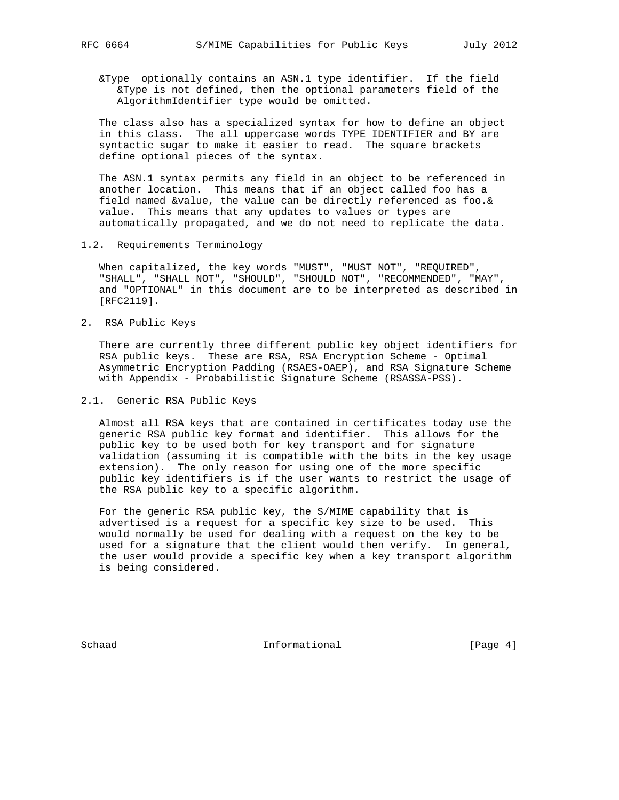&Type optionally contains an ASN.1 type identifier. If the field &Type is not defined, then the optional parameters field of the AlgorithmIdentifier type would be omitted.

 The class also has a specialized syntax for how to define an object in this class. The all uppercase words TYPE IDENTIFIER and BY are syntactic sugar to make it easier to read. The square brackets define optional pieces of the syntax.

 The ASN.1 syntax permits any field in an object to be referenced in another location. This means that if an object called foo has a field named &value, the value can be directly referenced as foo.& value. This means that any updates to values or types are automatically propagated, and we do not need to replicate the data.

1.2. Requirements Terminology

 When capitalized, the key words "MUST", "MUST NOT", "REQUIRED", "SHALL", "SHALL NOT", "SHOULD", "SHOULD NOT", "RECOMMENDED", "MAY", and "OPTIONAL" in this document are to be interpreted as described in [RFC2119].

2. RSA Public Keys

 There are currently three different public key object identifiers for RSA public keys. These are RSA, RSA Encryption Scheme - Optimal Asymmetric Encryption Padding (RSAES-OAEP), and RSA Signature Scheme with Appendix - Probabilistic Signature Scheme (RSASSA-PSS).

2.1. Generic RSA Public Keys

 Almost all RSA keys that are contained in certificates today use the generic RSA public key format and identifier. This allows for the public key to be used both for key transport and for signature validation (assuming it is compatible with the bits in the key usage extension). The only reason for using one of the more specific public key identifiers is if the user wants to restrict the usage of the RSA public key to a specific algorithm.

 For the generic RSA public key, the S/MIME capability that is advertised is a request for a specific key size to be used. This would normally be used for dealing with a request on the key to be used for a signature that the client would then verify. In general, the user would provide a specific key when a key transport algorithm is being considered.

Schaad **Informational Informational** [Page 4]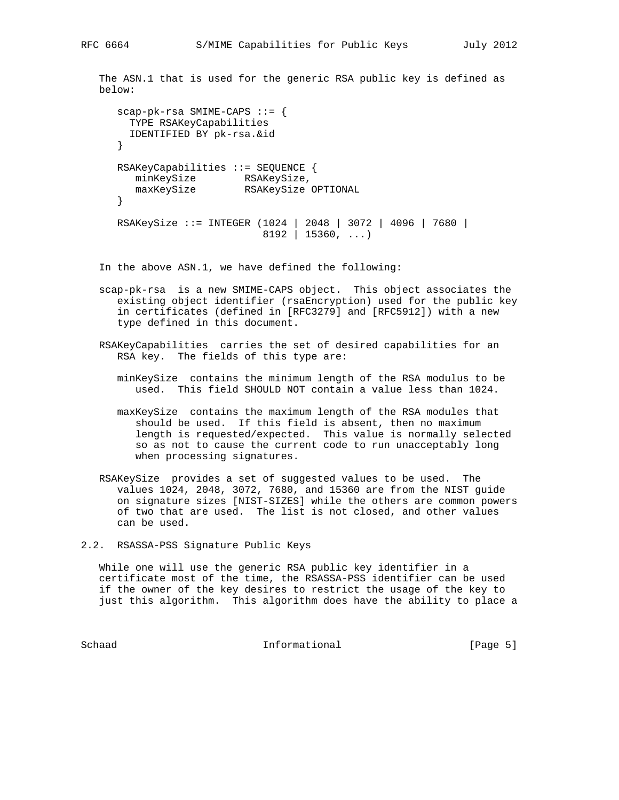The ASN.1 that is used for the generic RSA public key is defined as below:

```
 scap-pk-rsa SMIME-CAPS ::= {
       TYPE RSAKeyCapabilities
       IDENTIFIED BY pk-rsa.&id
     }
     RSAKeyCapabilities ::= SEQUENCE {
minKeySize RSAKeySize,
 maxKeySize RSAKeySize OPTIONAL
     }
 RSAKeySize ::= INTEGER (1024 | 2048 | 3072 | 4096 | 7680 |
8192 | 15360, ...)
```
In the above ASN.1, we have defined the following:

- scap-pk-rsa is a new SMIME-CAPS object. This object associates the existing object identifier (rsaEncryption) used for the public key in certificates (defined in [RFC3279] and [RFC5912]) with a new type defined in this document.
- RSAKeyCapabilities carries the set of desired capabilities for an RSA key. The fields of this type are:
	- minKeySize contains the minimum length of the RSA modulus to be used. This field SHOULD NOT contain a value less than 1024.
	- maxKeySize contains the maximum length of the RSA modules that should be used. If this field is absent, then no maximum length is requested/expected. This value is normally selected so as not to cause the current code to run unacceptably long when processing signatures.
- RSAKeySize provides a set of suggested values to be used. The values 1024, 2048, 3072, 7680, and 15360 are from the NIST guide on signature sizes [NIST-SIZES] while the others are common powers of two that are used. The list is not closed, and other values can be used.
- 2.2. RSASSA-PSS Signature Public Keys

 While one will use the generic RSA public key identifier in a certificate most of the time, the RSASSA-PSS identifier can be used if the owner of the key desires to restrict the usage of the key to just this algorithm. This algorithm does have the ability to place a

Schaad **Informational Informational** [Page 5]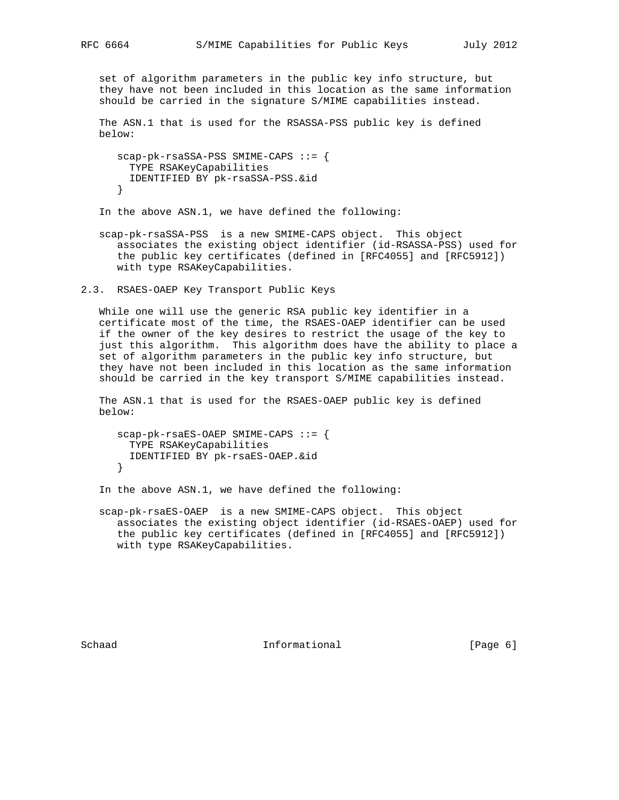set of algorithm parameters in the public key info structure, but they have not been included in this location as the same information should be carried in the signature S/MIME capabilities instead.

 The ASN.1 that is used for the RSASSA-PSS public key is defined below:

```
 scap-pk-rsaSSA-PSS SMIME-CAPS ::= {
  TYPE RSAKeyCapabilities
  IDENTIFIED BY pk-rsaSSA-PSS.&id
 }
```
In the above ASN.1, we have defined the following:

- scap-pk-rsaSSA-PSS is a new SMIME-CAPS object. This object associates the existing object identifier (id-RSASSA-PSS) used for the public key certificates (defined in [RFC4055] and [RFC5912]) with type RSAKeyCapabilities.
- 2.3. RSAES-OAEP Key Transport Public Keys

 While one will use the generic RSA public key identifier in a certificate most of the time, the RSAES-OAEP identifier can be used if the owner of the key desires to restrict the usage of the key to just this algorithm. This algorithm does have the ability to place a set of algorithm parameters in the public key info structure, but they have not been included in this location as the same information should be carried in the key transport S/MIME capabilities instead.

 The ASN.1 that is used for the RSAES-OAEP public key is defined below:

```
 scap-pk-rsaES-OAEP SMIME-CAPS ::= {
  TYPE RSAKeyCapabilities
  IDENTIFIED BY pk-rsaES-OAEP.&id
 }
```
In the above ASN.1, we have defined the following:

 scap-pk-rsaES-OAEP is a new SMIME-CAPS object. This object associates the existing object identifier (id-RSAES-OAEP) used for the public key certificates (defined in [RFC4055] and [RFC5912]) with type RSAKeyCapabilities.

Schaad **Informational Informational** [Page 6]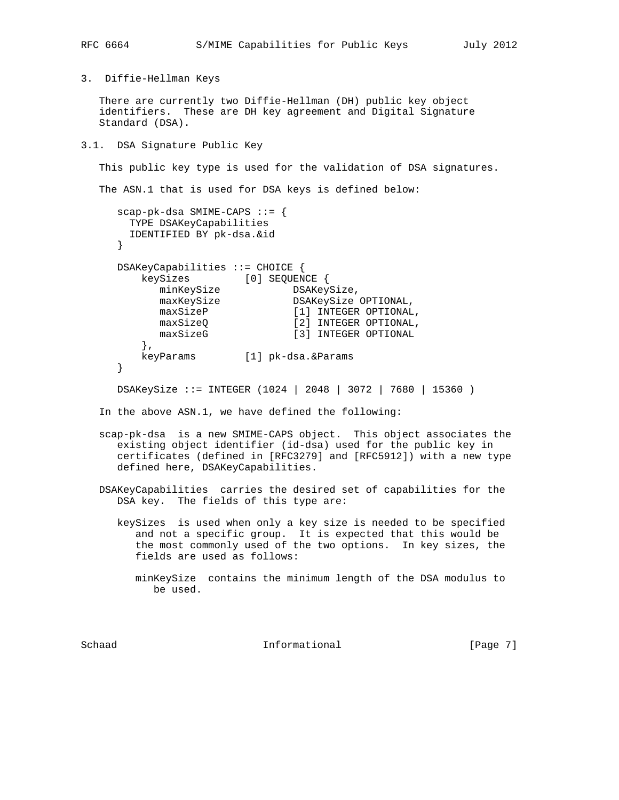3. Diffie-Hellman Keys

 There are currently two Diffie-Hellman (DH) public key object identifiers. These are DH key agreement and Digital Signature Standard (DSA).

3.1. DSA Signature Public Key

This public key type is used for the validation of DSA signatures.

The ASN.1 that is used for DSA keys is defined below:

```
 scap-pk-dsa SMIME-CAPS ::= {
      TYPE DSAKeyCapabilities
      IDENTIFIED BY pk-dsa.&id
     }
     DSAKeyCapabilities ::= CHOICE {
        keySizes [0] SEQUENCE {
minKeySize DSAKeySize,
maxKeySize DSAKeySize OPTIONAL,
maxSizeP [1] INTEGER OPTIONAL,
maxSizeQ [2] INTEGER OPTIONAL,
maxSizeG [3] INTEGER OPTIONAL
        },
        keyParams [1] pk-dsa.&Params
     }
     DSAKeySize ::= INTEGER (1024 | 2048 | 3072 | 7680 | 15360 )
```
In the above ASN.1, we have defined the following:

- scap-pk-dsa is a new SMIME-CAPS object. This object associates the existing object identifier (id-dsa) used for the public key in certificates (defined in [RFC3279] and [RFC5912]) with a new type defined here, DSAKeyCapabilities.
- DSAKeyCapabilities carries the desired set of capabilities for the DSA key. The fields of this type are:
	- keySizes is used when only a key size is needed to be specified and not a specific group. It is expected that this would be the most commonly used of the two options. In key sizes, the fields are used as follows:
		- minKeySize contains the minimum length of the DSA modulus to be used.

Schaad **Informational Informational** [Page 7]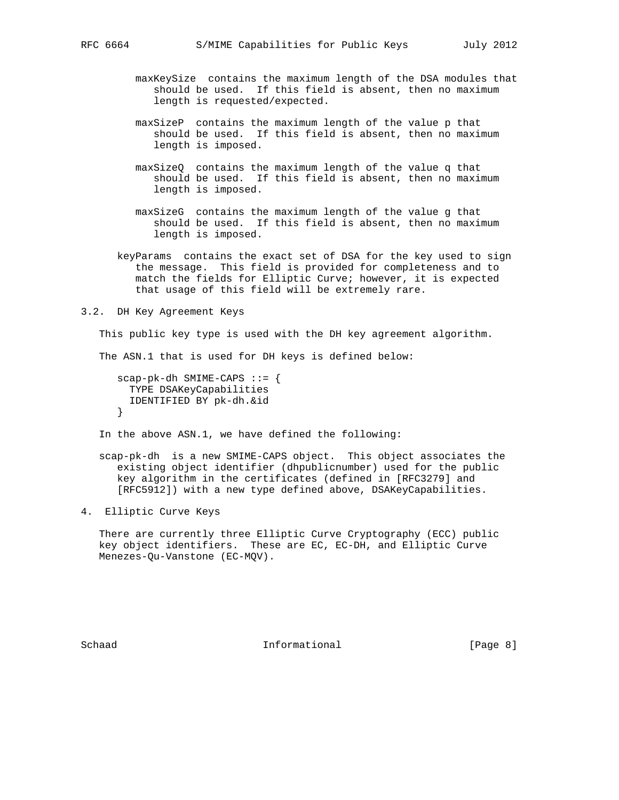- maxKeySize contains the maximum length of the DSA modules that should be used. If this field is absent, then no maximum length is requested/expected.
- maxSizeP contains the maximum length of the value p that should be used. If this field is absent, then no maximum length is imposed.
- maxSizeQ contains the maximum length of the value q that should be used. If this field is absent, then no maximum length is imposed.
- maxSizeG contains the maximum length of the value g that should be used. If this field is absent, then no maximum length is imposed.
- keyParams contains the exact set of DSA for the key used to sign the message. This field is provided for completeness and to match the fields for Elliptic Curve; however, it is expected that usage of this field will be extremely rare.

3.2. DH Key Agreement Keys

This public key type is used with the DH key agreement algorithm.

The ASN.1 that is used for DH keys is defined below:

 scap-pk-dh SMIME-CAPS ::= { TYPE DSAKeyCapabilities IDENTIFIED BY pk-dh.&id }

In the above ASN.1, we have defined the following:

- scap-pk-dh is a new SMIME-CAPS object. This object associates the existing object identifier (dhpublicnumber) used for the public key algorithm in the certificates (defined in [RFC3279] and [RFC5912]) with a new type defined above, DSAKeyCapabilities.
- 4. Elliptic Curve Keys

 There are currently three Elliptic Curve Cryptography (ECC) public key object identifiers. These are EC, EC-DH, and Elliptic Curve Menezes-Qu-Vanstone (EC-MQV).

Schaad **Informational Informational** [Page 8]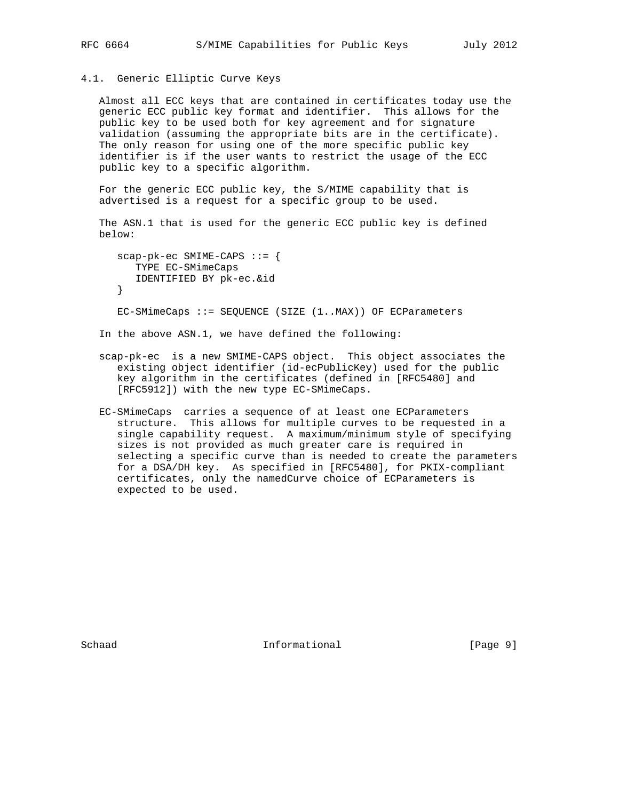# 4.1. Generic Elliptic Curve Keys

 Almost all ECC keys that are contained in certificates today use the generic ECC public key format and identifier. This allows for the public key to be used both for key agreement and for signature validation (assuming the appropriate bits are in the certificate). The only reason for using one of the more specific public key identifier is if the user wants to restrict the usage of the ECC public key to a specific algorithm.

 For the generic ECC public key, the S/MIME capability that is advertised is a request for a specific group to be used.

 The ASN.1 that is used for the generic ECC public key is defined below:

 $scap-pk-ec$  SMIME-CAPS ::= { TYPE EC-SMimeCaps IDENTIFIED BY pk-ec.&id } EC-SMimeCaps ::= SEQUENCE (SIZE (1..MAX)) OF ECParameters

In the above ASN.1, we have defined the following:

- scap-pk-ec is a new SMIME-CAPS object. This object associates the existing object identifier (id-ecPublicKey) used for the public key algorithm in the certificates (defined in [RFC5480] and [RFC5912]) with the new type EC-SMimeCaps.
- EC-SMimeCaps carries a sequence of at least one ECParameters structure. This allows for multiple curves to be requested in a single capability request. A maximum/minimum style of specifying sizes is not provided as much greater care is required in selecting a specific curve than is needed to create the parameters for a DSA/DH key. As specified in [RFC5480], for PKIX-compliant certificates, only the namedCurve choice of ECParameters is expected to be used.

Schaad **Informational Informational** [Page 9]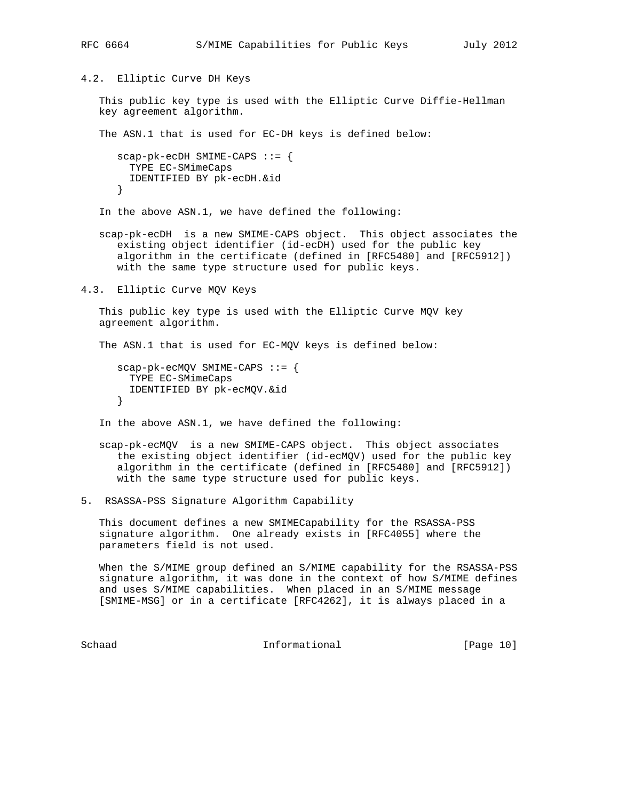4.2. Elliptic Curve DH Keys

 This public key type is used with the Elliptic Curve Diffie-Hellman key agreement algorithm.

The ASN.1 that is used for EC-DH keys is defined below:

```
 scap-pk-ecDH SMIME-CAPS ::= {
  TYPE EC-SMimeCaps
   IDENTIFIED BY pk-ecDH.&id
 }
```
In the above ASN.1, we have defined the following:

 scap-pk-ecDH is a new SMIME-CAPS object. This object associates the existing object identifier (id-ecDH) used for the public key algorithm in the certificate (defined in [RFC5480] and [RFC5912]) with the same type structure used for public keys.

4.3. Elliptic Curve MQV Keys

 This public key type is used with the Elliptic Curve MQV key agreement algorithm.

The ASN.1 that is used for EC-MQV keys is defined below:

```
 scap-pk-ecMQV SMIME-CAPS ::= {
   TYPE EC-SMimeCaps
   IDENTIFIED BY pk-ecMQV.&id
 }
```
In the above ASN.1, we have defined the following:

 scap-pk-ecMQV is a new SMIME-CAPS object. This object associates the existing object identifier (id-ecMQV) used for the public key algorithm in the certificate (defined in [RFC5480] and [RFC5912]) with the same type structure used for public keys.

5. RSASSA-PSS Signature Algorithm Capability

 This document defines a new SMIMECapability for the RSASSA-PSS signature algorithm. One already exists in [RFC4055] where the parameters field is not used.

 When the S/MIME group defined an S/MIME capability for the RSASSA-PSS signature algorithm, it was done in the context of how S/MIME defines and uses S/MIME capabilities. When placed in an S/MIME message [SMIME-MSG] or in a certificate [RFC4262], it is always placed in a

Schaad **Informational** [Page 10]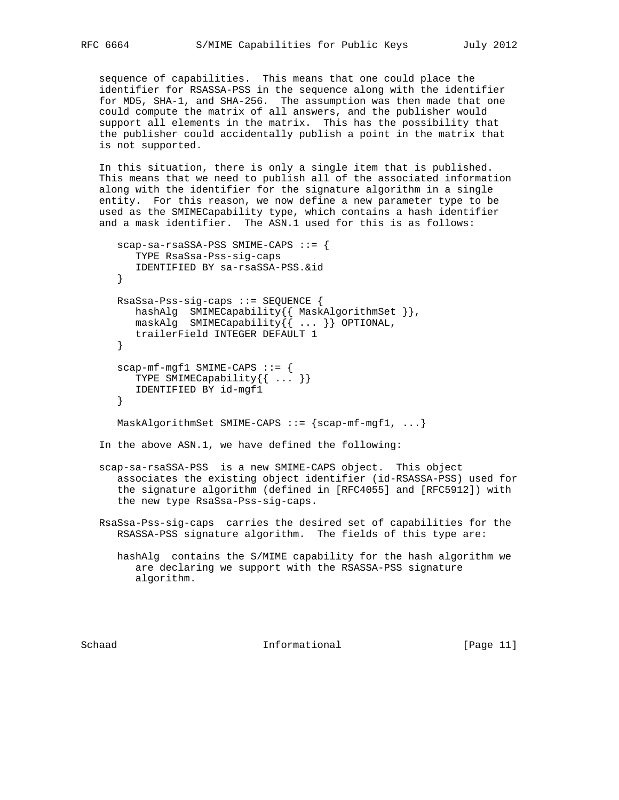sequence of capabilities. This means that one could place the identifier for RSASSA-PSS in the sequence along with the identifier for MD5, SHA-1, and SHA-256. The assumption was then made that one could compute the matrix of all answers, and the publisher would support all elements in the matrix. This has the possibility that the publisher could accidentally publish a point in the matrix that is not supported.

 In this situation, there is only a single item that is published. This means that we need to publish all of the associated information along with the identifier for the signature algorithm in a single entity. For this reason, we now define a new parameter type to be used as the SMIMECapability type, which contains a hash identifier and a mask identifier. The ASN.1 used for this is as follows:

```
 scap-sa-rsaSSA-PSS SMIME-CAPS ::= {
       TYPE RsaSsa-Pss-sig-caps
       IDENTIFIED BY sa-rsaSSA-PSS.&id
    }
    RsaSsa-Pss-sig-caps ::= SEQUENCE {
      hashAlg SMIMECapability{{ MaskAlgorithmSet }},
       maskAlg SMIMECapability{{ ... }} OPTIONAL,
      trailerField INTEGER DEFAULT 1
    }
    scap-mf-mgf1 SMIME-CAPS ::= {
      TYPE SMIMECapability\{ \ldots \} IDENTIFIED BY id-mgf1
    }
   MaskAlgorithmSet SMIME-CAPS :: = \{scap-mf-mgf1, ... \} In the above ASN.1, we have defined the following:
```
 scap-sa-rsaSSA-PSS is a new SMIME-CAPS object. This object associates the existing object identifier (id-RSASSA-PSS) used for the signature algorithm (defined in [RFC4055] and [RFC5912]) with the new type RsaSsa-Pss-sig-caps.

 RsaSsa-Pss-sig-caps carries the desired set of capabilities for the RSASSA-PSS signature algorithm. The fields of this type are:

 hashAlg contains the S/MIME capability for the hash algorithm we are declaring we support with the RSASSA-PSS signature algorithm.

Schaad **Informational Informational** [Page 11]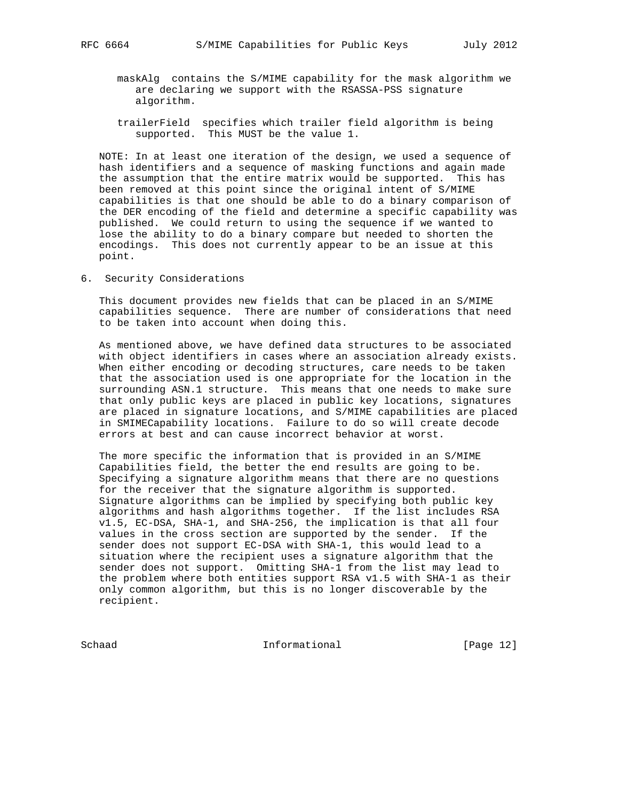- maskAlg contains the S/MIME capability for the mask algorithm we are declaring we support with the RSASSA-PSS signature algorithm.
- trailerField specifies which trailer field algorithm is being supported. This MUST be the value 1.

 NOTE: In at least one iteration of the design, we used a sequence of hash identifiers and a sequence of masking functions and again made the assumption that the entire matrix would be supported. This has been removed at this point since the original intent of S/MIME capabilities is that one should be able to do a binary comparison of the DER encoding of the field and determine a specific capability was published. We could return to using the sequence if we wanted to lose the ability to do a binary compare but needed to shorten the encodings. This does not currently appear to be an issue at this point.

6. Security Considerations

 This document provides new fields that can be placed in an S/MIME capabilities sequence. There are number of considerations that need to be taken into account when doing this.

 As mentioned above, we have defined data structures to be associated with object identifiers in cases where an association already exists. When either encoding or decoding structures, care needs to be taken that the association used is one appropriate for the location in the surrounding ASN.1 structure. This means that one needs to make sure that only public keys are placed in public key locations, signatures are placed in signature locations, and S/MIME capabilities are placed in SMIMECapability locations. Failure to do so will create decode errors at best and can cause incorrect behavior at worst.

 The more specific the information that is provided in an S/MIME Capabilities field, the better the end results are going to be. Specifying a signature algorithm means that there are no questions for the receiver that the signature algorithm is supported. Signature algorithms can be implied by specifying both public key algorithms and hash algorithms together. If the list includes RSA v1.5, EC-DSA, SHA-1, and SHA-256, the implication is that all four values in the cross section are supported by the sender. If the sender does not support EC-DSA with SHA-1, this would lead to a situation where the recipient uses a signature algorithm that the sender does not support. Omitting SHA-1 from the list may lead to the problem where both entities support RSA v1.5 with SHA-1 as their only common algorithm, but this is no longer discoverable by the recipient.

Schaad Informational [Page 12]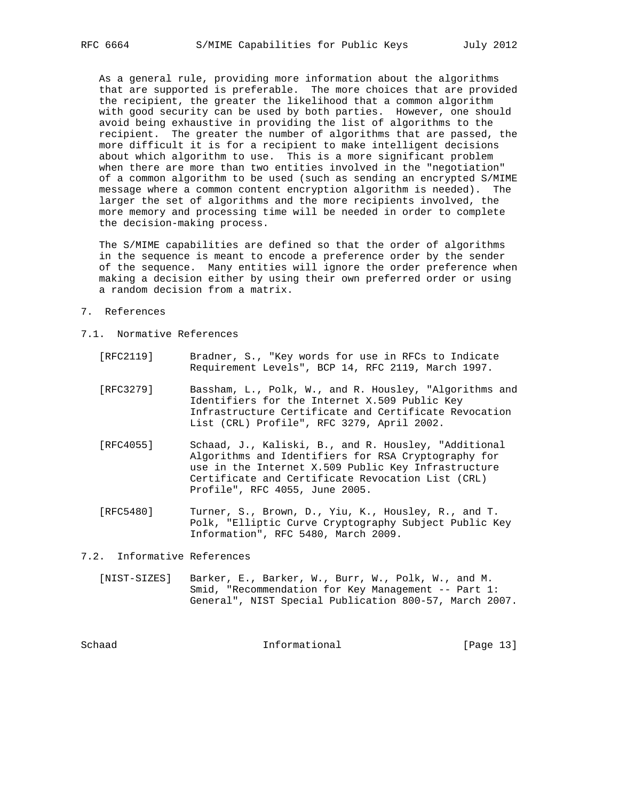As a general rule, providing more information about the algorithms that are supported is preferable. The more choices that are provided the recipient, the greater the likelihood that a common algorithm with good security can be used by both parties. However, one should avoid being exhaustive in providing the list of algorithms to the recipient. The greater the number of algorithms that are passed, the more difficult it is for a recipient to make intelligent decisions about which algorithm to use. This is a more significant problem when there are more than two entities involved in the "negotiation" of a common algorithm to be used (such as sending an encrypted S/MIME message where a common content encryption algorithm is needed). The larger the set of algorithms and the more recipients involved, the more memory and processing time will be needed in order to complete the decision-making process.

 The S/MIME capabilities are defined so that the order of algorithms in the sequence is meant to encode a preference order by the sender of the sequence. Many entities will ignore the order preference when making a decision either by using their own preferred order or using a random decision from a matrix.

- 7. References
- 7.1. Normative References
	- [RFC2119] Bradner, S., "Key words for use in RFCs to Indicate Requirement Levels", BCP 14, RFC 2119, March 1997.
	- [RFC3279] Bassham, L., Polk, W., and R. Housley, "Algorithms and Identifiers for the Internet X.509 Public Key Infrastructure Certificate and Certificate Revocation List (CRL) Profile", RFC 3279, April 2002.
	- [RFC4055] Schaad, J., Kaliski, B., and R. Housley, "Additional Algorithms and Identifiers for RSA Cryptography for use in the Internet X.509 Public Key Infrastructure Certificate and Certificate Revocation List (CRL) Profile", RFC 4055, June 2005.
	- [RFC5480] Turner, S., Brown, D., Yiu, K., Housley, R., and T. Polk, "Elliptic Curve Cryptography Subject Public Key Information", RFC 5480, March 2009.

#### 7.2. Informative References

 [NIST-SIZES] Barker, E., Barker, W., Burr, W., Polk, W., and M. Smid, "Recommendation for Key Management -- Part 1: General", NIST Special Publication 800-57, March 2007.

Schaad **Informational Informational** [Page 13]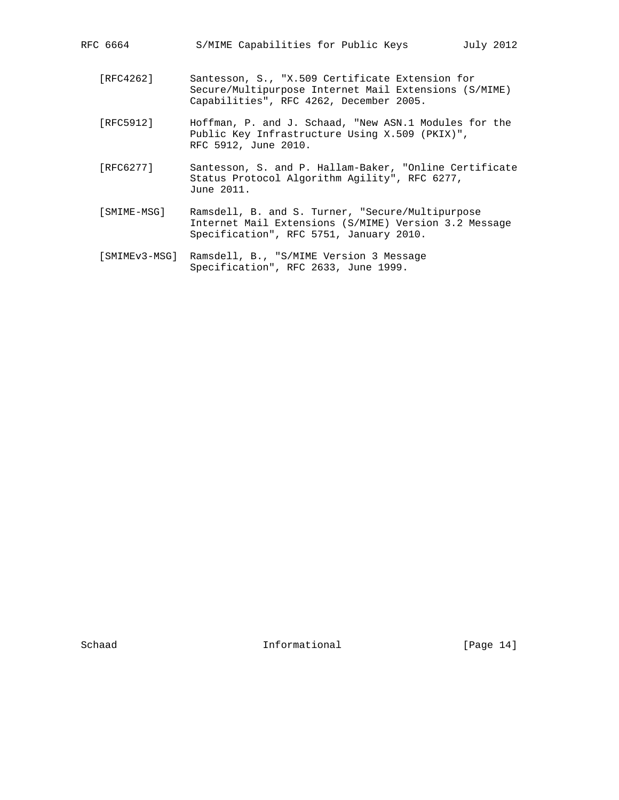- [RFC4262] Santesson, S., "X.509 Certificate Extension for Secure/Multipurpose Internet Mail Extensions (S/MIME) Capabilities", RFC 4262, December 2005.
- [RFC5912] Hoffman, P. and J. Schaad, "New ASN.1 Modules for the Public Key Infrastructure Using X.509 (PKIX)", RFC 5912, June 2010.
- [RFC6277] Santesson, S. and P. Hallam-Baker, "Online Certificate Status Protocol Algorithm Agility", RFC 6277, June 2011.
- [SMIME-MSG] Ramsdell, B. and S. Turner, "Secure/Multipurpose Internet Mail Extensions (S/MIME) Version 3.2 Message Specification", RFC 5751, January 2010.
- [SMIMEv3-MSG] Ramsdell, B., "S/MIME Version 3 Message Specification", RFC 2633, June 1999.

Schaad Informational [Page 14]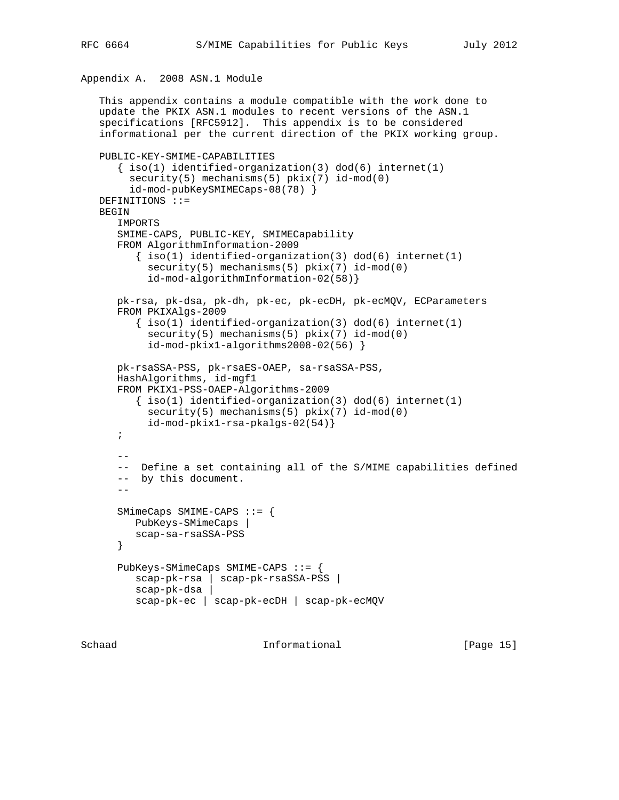## Appendix A. 2008 ASN.1 Module

```
 This appendix contains a module compatible with the work done to
   update the PKIX ASN.1 modules to recent versions of the ASN.1
   specifications [RFC5912]. This appendix is to be considered
   informational per the current direction of the PKIX working group.
   PUBLIC-KEY-SMIME-CAPABILITIES
      \{ iso(1) identified-organization(3) dod(6) internet(1)
        security(5) mechanisms(5) pkix(7) id-mod(0)
         id-mod-pubKeySMIMECaps-08(78) }
   DEFINITIONS ::=
   BEGIN
       IMPORTS
       SMIME-CAPS, PUBLIC-KEY, SMIMECapability
       FROM AlgorithmInformation-2009
         \{ iso(1) <i>identified-organization(3) <math> dod(6) <i>internet(1)</i>security(5) mechanisms(5) pkix(7) id-mod(0)
            id-mod-algorithmInformation-02(58)}
       pk-rsa, pk-dsa, pk-dh, pk-ec, pk-ecDH, pk-ecMQV, ECParameters
       FROM PKIXAlgs-2009
         \{ iso(1) <i>identified-organization(3) <math> dod(6) <i>internet(1)</i>security(5) mechanisms(5) pkix(7) id-mod(0)
            id-mod-pkix1-algorithms2008-02(56) }
       pk-rsaSSA-PSS, pk-rsaES-OAEP, sa-rsaSSA-PSS,
       HashAlgorithms, id-mgf1
       FROM PKIX1-PSS-OAEP-Algorithms-2009
         \{ iso(1) <i>identified-organization(3) <math> dod(6) <i>internet(1)</i>security(5) mechanisms(5) pkix(7) id-mod(0)
            id-mod-pkix1-rsa-pkalgs-02(54)}
       ;
      - - -- Define a set containing all of the S/MIME capabilities defined
       -- by this document.
 --
       SMimeCaps SMIME-CAPS ::= {
         PubKeys-SMimeCaps |
          scap-sa-rsaSSA-PSS
       }
       PubKeys-SMimeCaps SMIME-CAPS ::= {
          scap-pk-rsa | scap-pk-rsaSSA-PSS |
          scap-pk-dsa |
          scap-pk-ec | scap-pk-ecDH | scap-pk-ecMQV
```
Schaad **Informational Informational** [Page 15]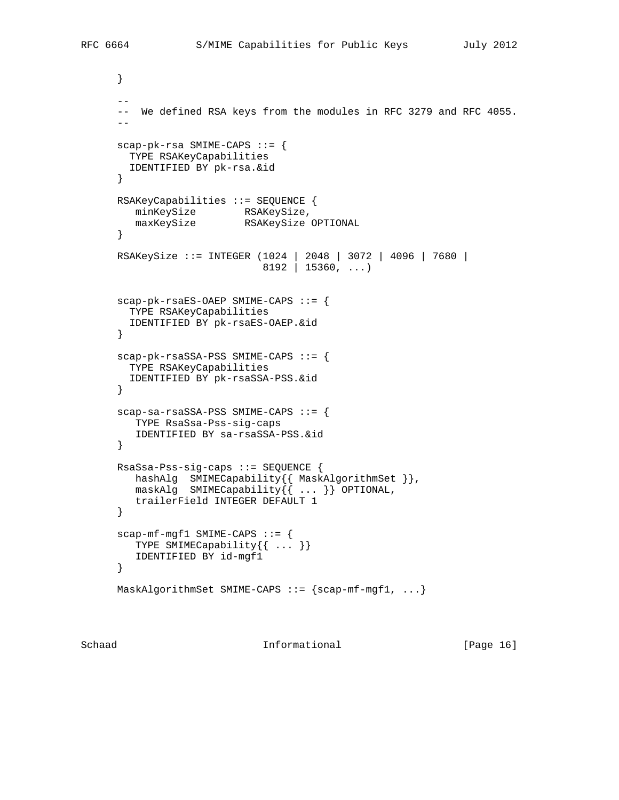```
 }
       --
       -- We defined RSA keys from the modules in RFC 3279 and RFC 4055.
      - - scap-pk-rsa SMIME-CAPS ::= {
       TYPE RSAKeyCapabilities
        IDENTIFIED BY pk-rsa.&id
      }
      RSAKeyCapabilities ::= SEQUENCE {
minKeySize RSAKeySize,
 maxKeySize RSAKeySize OPTIONAL
      }
      RSAKeySize ::= INTEGER (1024 | 2048 | 3072 | 4096 | 7680 |
                               8192 | 15360, ...)
      scap-pk-rsaES-OAEP SMIME-CAPS ::= {
        TYPE RSAKeyCapabilities
        IDENTIFIED BY pk-rsaES-OAEP.&id
      }
      scap-pk-rsaSSA-PSS SMIME-CAPS ::= {
        TYPE RSAKeyCapabilities
        IDENTIFIED BY pk-rsaSSA-PSS.&id
      }
      scap-sa-rsaSSA-PSS SMIME-CAPS ::= {
         TYPE RsaSsa-Pss-sig-caps
         IDENTIFIED BY sa-rsaSSA-PSS.&id
      }
      RsaSsa-Pss-sig-caps ::= SEQUENCE {
         hashAlg SMIMECapability{{ MaskAlgorithmSet }},
        {{\sf maskAlg}} SMIMECapability{\{\}}, ... {\} OPTIONAL,
         trailerField INTEGER DEFAULT 1
      }
      scap-mf-mgf1 SMIME-CAPS ::= {
         TYPE SMIMECapability{{ ... }}
         IDENTIFIED BY id-mgf1
      }
     MaskAlgorithmSet SMIME-CAPS ::= {scap-mf-mgf1, ...}
```
Schaad **Informational Informational** [Page 16]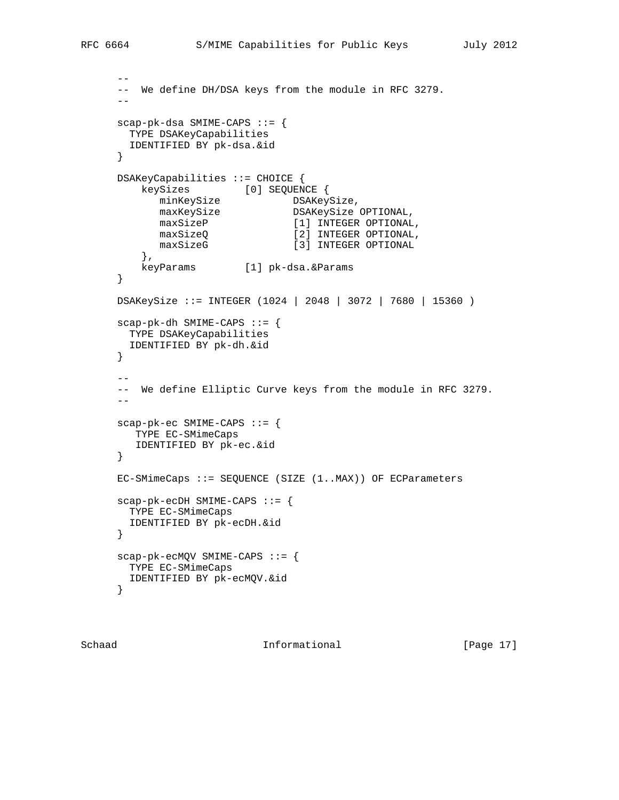```
 --
      -- We define DH/DSA keys from the module in RFC 3279.
 --
      scap-pk-dsa SMIME-CAPS ::= {
       TYPE DSAKeyCapabilities
       IDENTIFIED BY pk-dsa.&id
      }
      DSAKeyCapabilities ::= CHOICE {
        keySizes [0] SEQUENCE {<br>minKeySize DSAKey
minKeySize DSAKeySize,
maxKeySize DSAKeySize OPTIONAL,
maxSizeP [1] INTEGER OPTIONAL,
maxSizeQ [2] INTEGER OPTIONAL,
            maxSizeG [3] INTEGER OPTIONAL
         },
         keyParams [1] pk-dsa.&Params
      }
      DSAKeySize ::= INTEGER (1024 | 2048 | 3072 | 7680 | 15360 )
      scap-pk-dh SMIME-CAPS ::= {
       TYPE DSAKeyCapabilities
       IDENTIFIED BY pk-dh.&id
      }
      --
      -- We define Elliptic Curve keys from the module in RFC 3279.
 --
      scap-pk-ec SMIME-CAPS ::= {
        TYPE EC-SMimeCaps
        IDENTIFIED BY pk-ec.&id
      }
     EC-SMinecaps := SEQUENCE (SIZE (1..MAX)) OF ECParameters scap-pk-ecDH SMIME-CAPS ::= {
       TYPE EC-SMimeCaps
       IDENTIFIED BY pk-ecDH.&id
      }
      scap-pk-ecMQV SMIME-CAPS ::= {
       TYPE EC-SMimeCaps
       IDENTIFIED BY pk-ecMQV.&id
```
}

Schaad **Informational Informational** [Page 17]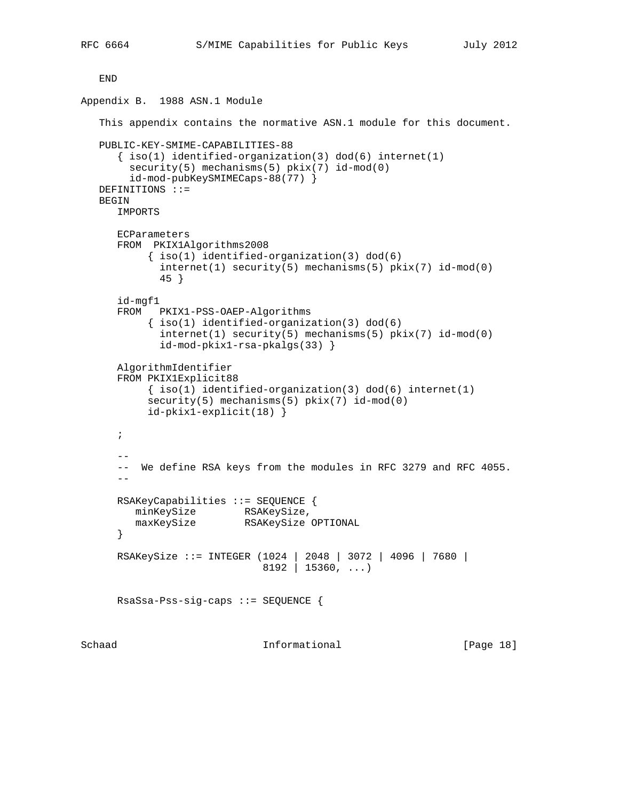END

```
Appendix B. 1988 ASN.1 Module
    This appendix contains the normative ASN.1 module for this document.
    PUBLIC-KEY-SMIME-CAPABILITIES-88
      \{ iso(1) <i>identified-organization(3) <math> dod(6) <i>internet(1)</i>security(5) mechanisms(5) pkix(7) id-mod(0)
         id-mod-pubKeySMIMECaps-88(77) }
    DEFINITIONS ::=
    BEGIN
       IMPORTS
       ECParameters
       FROM PKIX1Algorithms2008
            { iso(1) identified-organization(3) dod(6)
              internet(1) security(5) mechanisms(5) pkix(7) id-mod(0)
              45 }
       id-mgf1
       FROM PKIX1-PSS-OAEP-Algorithms
            \{ iso(1) <i>identified-organization(3) <math> dod(6)</math> internet(1) security(5) mechanisms(5) pkix(7) id-mod(0)
              id-mod-pkix1-rsa-pkalgs(33) }
       AlgorithmIdentifier
       FROM PKIX1Explicit88
           \{ iso(1) <i>identified-organization(3) <math> dod(6) <i>internet(1)</i>security(5) mechanisms(5) pkix(7) id-mod(0)
            id-pkix1-explicit(18) }
       ;
      - - -- We define RSA keys from the modules in RFC 3279 and RFC 4055.
      - RSAKeyCapabilities ::= SEQUENCE {
          minKeySize RSAKeySize,
          maxKeySize RSAKeySize OPTIONAL
       }
       RSAKeySize ::= INTEGER (1024 | 2048 | 3072 | 4096 | 7680 |
                                8192 | 15360, ...)
       RsaSsa-Pss-sig-caps ::= SEQUENCE {
```
Schaad **Informational Informational** [Page 18]